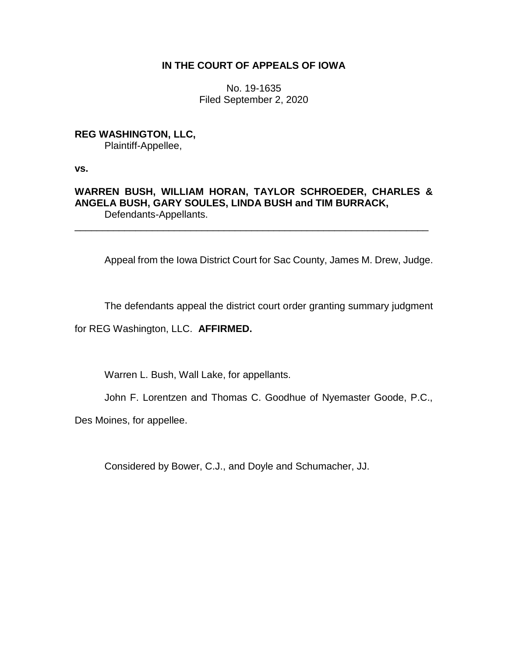## **IN THE COURT OF APPEALS OF IOWA**

No. 19-1635 Filed September 2, 2020

**REG WASHINGTON, LLC,** Plaintiff-Appellee,

**vs.**

## **WARREN BUSH, WILLIAM HORAN, TAYLOR SCHROEDER, CHARLES & ANGELA BUSH, GARY SOULES, LINDA BUSH and TIM BURRACK,** Defendants-Appellants.

\_\_\_\_\_\_\_\_\_\_\_\_\_\_\_\_\_\_\_\_\_\_\_\_\_\_\_\_\_\_\_\_\_\_\_\_\_\_\_\_\_\_\_\_\_\_\_\_\_\_\_\_\_\_\_\_\_\_\_\_\_\_\_\_

Appeal from the Iowa District Court for Sac County, James M. Drew, Judge.

The defendants appeal the district court order granting summary judgment

for REG Washington, LLC. **AFFIRMED.**

Warren L. Bush, Wall Lake, for appellants.

John F. Lorentzen and Thomas C. Goodhue of Nyemaster Goode, P.C.,

Des Moines, for appellee.

Considered by Bower, C.J., and Doyle and Schumacher, JJ.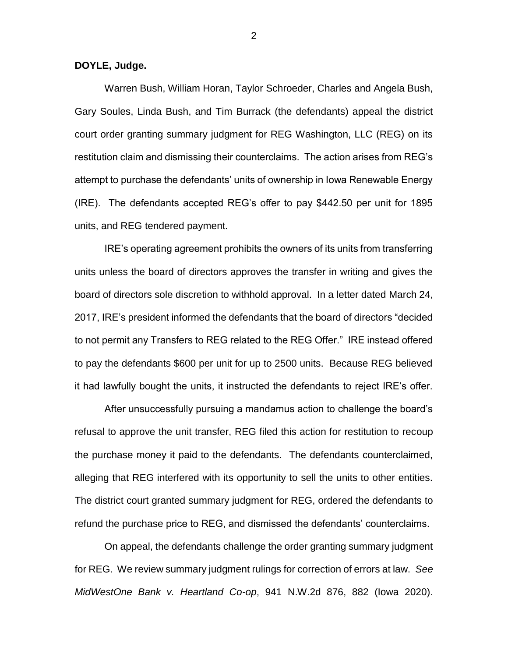**DOYLE, Judge.**

Warren Bush, William Horan, Taylor Schroeder, Charles and Angela Bush, Gary Soules, Linda Bush, and Tim Burrack (the defendants) appeal the district court order granting summary judgment for REG Washington, LLC (REG) on its restitution claim and dismissing their counterclaims. The action arises from REG's attempt to purchase the defendants' units of ownership in Iowa Renewable Energy (IRE). The defendants accepted REG's offer to pay \$442.50 per unit for 1895 units, and REG tendered payment.

IRE's operating agreement prohibits the owners of its units from transferring units unless the board of directors approves the transfer in writing and gives the board of directors sole discretion to withhold approval. In a letter dated March 24, 2017, IRE's president informed the defendants that the board of directors "decided to not permit any Transfers to REG related to the REG Offer." IRE instead offered to pay the defendants \$600 per unit for up to 2500 units. Because REG believed it had lawfully bought the units, it instructed the defendants to reject IRE's offer.

After unsuccessfully pursuing a mandamus action to challenge the board's refusal to approve the unit transfer, REG filed this action for restitution to recoup the purchase money it paid to the defendants. The defendants counterclaimed, alleging that REG interfered with its opportunity to sell the units to other entities. The district court granted summary judgment for REG, ordered the defendants to refund the purchase price to REG, and dismissed the defendants' counterclaims.

On appeal, the defendants challenge the order granting summary judgment for REG. We review summary judgment rulings for correction of errors at law. *See MidWestOne Bank v. Heartland Co-op*, 941 N.W.2d 876, 882 (Iowa 2020).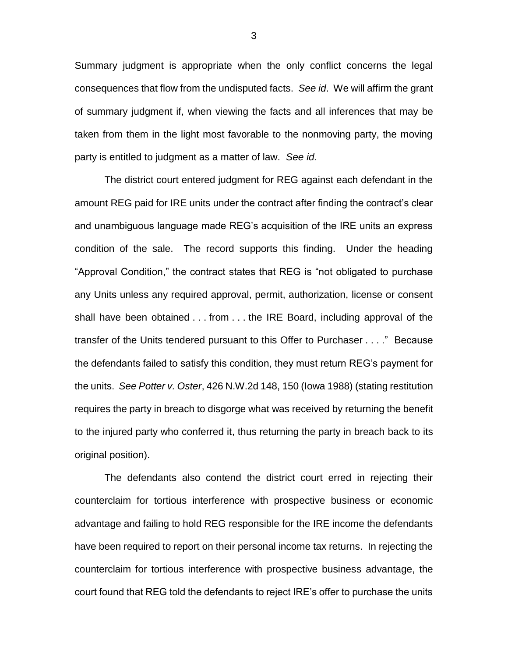Summary judgment is appropriate when the only conflict concerns the legal consequences that flow from the undisputed facts. *See id*. We will affirm the grant of summary judgment if, when viewing the facts and all inferences that may be taken from them in the light most favorable to the nonmoving party, the moving party is entitled to judgment as a matter of law. *See id.*

The district court entered judgment for REG against each defendant in the amount REG paid for IRE units under the contract after finding the contract's clear and unambiguous language made REG's acquisition of the IRE units an express condition of the sale. The record supports this finding. Under the heading "Approval Condition," the contract states that REG is "not obligated to purchase any Units unless any required approval, permit, authorization, license or consent shall have been obtained . . . from . . . the IRE Board, including approval of the transfer of the Units tendered pursuant to this Offer to Purchaser . . . ." Because the defendants failed to satisfy this condition, they must return REG's payment for the units. *See Potter v. Oster*, 426 N.W.2d 148, 150 (Iowa 1988) (stating restitution requires the party in breach to disgorge what was received by returning the benefit to the injured party who conferred it, thus returning the party in breach back to its original position).

The defendants also contend the district court erred in rejecting their counterclaim for tortious interference with prospective business or economic advantage and failing to hold REG responsible for the IRE income the defendants have been required to report on their personal income tax returns. In rejecting the counterclaim for tortious interference with prospective business advantage, the court found that REG told the defendants to reject IRE's offer to purchase the units